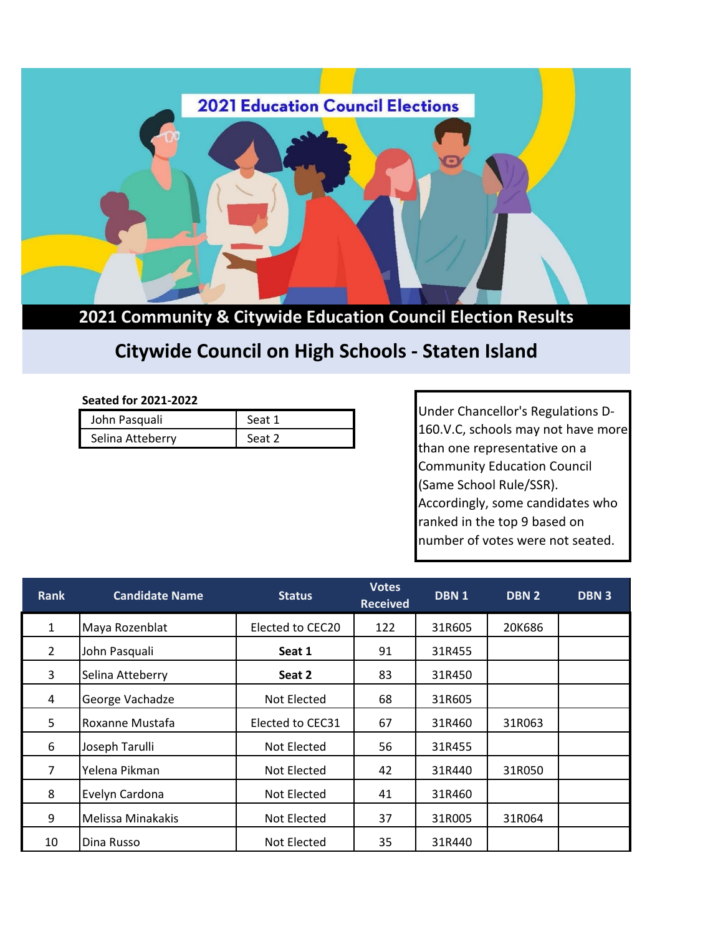

**2021 Community & Citywide Education Council Election Results**

## **Citywide Council on High Schools - Staten Island**

## **Seated for 2021-2022**

| John Pasquali    | Seat 1 |
|------------------|--------|
| Selina Atteberry | Seat 2 |

Under Chancellor's Regulations D-160.V.C, schools may not have more than one representative on a Community Education Council (Same School Rule/SSR). Accordingly, some candidates who ranked in the top 9 based on number of votes were not seated.

| <b>Rank</b>    | <b>Candidate Name</b> | <b>Status</b>    | <b>Votes</b><br><b>Received</b> | DBN <sub>1</sub> | DBN 2  | <b>DBN3</b> |
|----------------|-----------------------|------------------|---------------------------------|------------------|--------|-------------|
| $\mathbf{1}$   | Maya Rozenblat        | Elected to CEC20 | 122                             | 31R605           | 20K686 |             |
| $\overline{2}$ | John Pasquali         | Seat 1           | 91                              | 31R455           |        |             |
| 3              | Selina Atteberry      | Seat 2           | 83                              | 31R450           |        |             |
| 4              | George Vachadze       | Not Elected      | 68                              | 31R605           |        |             |
| 5              | Roxanne Mustafa       | Elected to CEC31 | 67                              | 31R460           | 31R063 |             |
| 6              | Joseph Tarulli        | Not Elected      | 56                              | 31R455           |        |             |
| $\overline{7}$ | Yelena Pikman         | Not Elected      | 42                              | 31R440           | 31R050 |             |
| 8              | Evelyn Cardona        | Not Elected      | 41                              | 31R460           |        |             |
| 9              | Melissa Minakakis     | Not Elected      | 37                              | 31R005           | 31R064 |             |
| 10             | Dina Russo            | Not Elected      | 35                              | 31R440           |        |             |